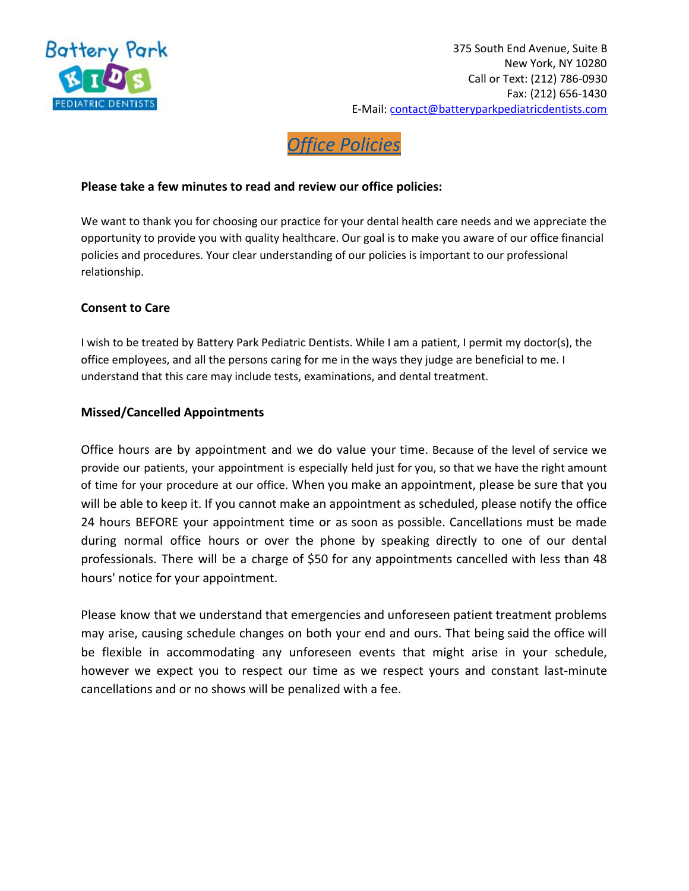

# *Office Policies*

## **Please take a few minutes to read and review our office policies:**

We want to thank you for choosing our practice for your dental health care needs and we appreciate the opportunity to provide you with quality healthcare. Our goal is to make you aware of our office financial policies and procedures. Your clear understanding of our policies is important to our professional relationship.

## **Consent to Care**

I wish to be treated by Battery Park Pediatric Dentists. While I am a patient, I permit my doctor(s), the office employees, and all the persons caring for me in the ways they judge are beneficial to me. I understand that this care may include tests, examinations, and dental treatment.

#### **Missed/Cancelled Appointments**

Office hours are by appointment and we do value your time. Because of the level of service we provide our patients, your appointment is especially held just for you, so that we have the right amount of time for your procedure at our office. When you make an appointment, please be sure that you will be able to keep it. If you cannot make an appointment as scheduled, please notify the office 24 hours BEFORE your appointment time or as soon as possible. Cancellations must be made during normal office hours or over the phone by speaking directly to one of our dental professionals. There will be a charge of \$50 for any appointments cancelled with less than 48 hours' notice for your appointment.

Please know that we understand that emergencies and unforeseen patient treatment problems may arise, causing schedule changes on both your end and ours. That being said the office will be flexible in accommodating any unforeseen events that might arise in your schedule, however we expect you to respect our time as we respect yours and constant last-minute cancellations and or no shows will be penalized with a fee.